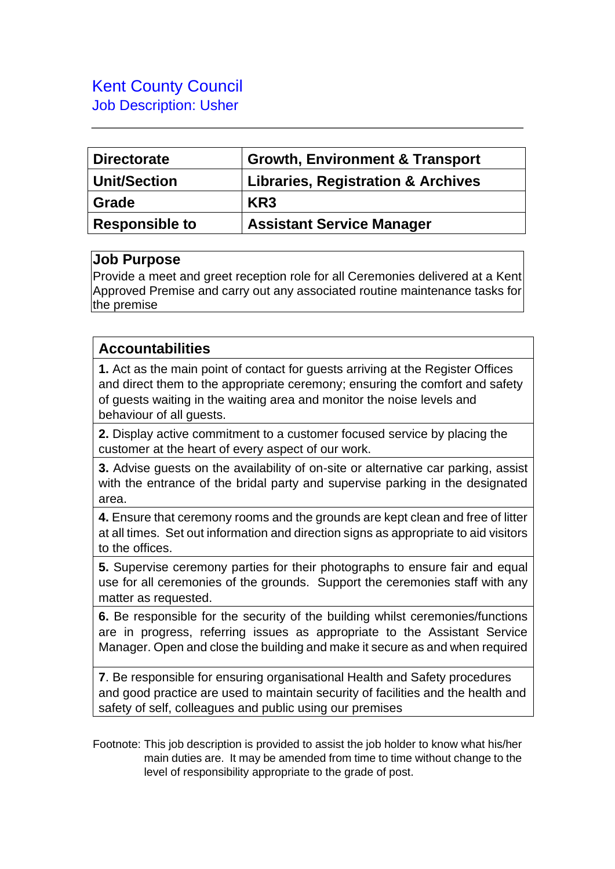## Kent County Council Job Description: Usher

| <b>Directorate</b>  | <b>Growth, Environment &amp; Transport</b>    |
|---------------------|-----------------------------------------------|
| <b>Unit/Section</b> | <b>Libraries, Registration &amp; Archives</b> |
| Grade               | KR <sub>3</sub>                               |
| Responsible to      | <b>Assistant Service Manager</b>              |

## **Job Purpose**

Provide a meet and greet reception role for all Ceremonies delivered at a Kent Approved Premise and carry out any associated routine maintenance tasks for the premise

## **Accountabilities**

**1.** Act as the main point of contact for guests arriving at the Register Offices and direct them to the appropriate ceremony; ensuring the comfort and safety of guests waiting in the waiting area and monitor the noise levels and behaviour of all guests.

**2.** Display active commitment to a customer focused service by placing the customer at the heart of every aspect of our work.

**3.** Advise guests on the availability of on-site or alternative car parking, assist with the entrance of the bridal party and supervise parking in the designated area.

**4.** Ensure that ceremony rooms and the grounds are kept clean and free of litter at all times. Set out information and direction signs as appropriate to aid visitors to the offices.

**5.** Supervise ceremony parties for their photographs to ensure fair and equal use for all ceremonies of the grounds. Support the ceremonies staff with any matter as requested.

**6.** Be responsible for the security of the building whilst ceremonies/functions are in progress, referring issues as appropriate to the Assistant Service Manager. Open and close the building and make it secure as and when required

**7**. Be responsible for ensuring organisational Health and Safety procedures and good practice are used to maintain security of facilities and the health and safety of self, colleagues and public using our premises

Footnote: This job description is provided to assist the job holder to know what his/her main duties are. It may be amended from time to time without change to the level of responsibility appropriate to the grade of post.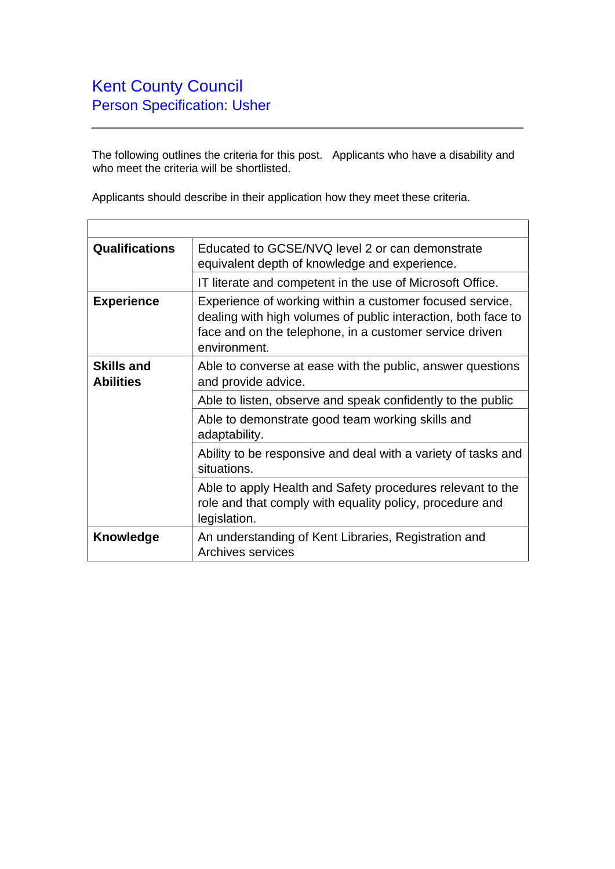The following outlines the criteria for this post. Applicants who have a disability and who meet the criteria will be shortlisted.

Applicants should describe in their application how they meet these criteria.

| <b>Qualifications</b>                 | Educated to GCSE/NVQ level 2 or can demonstrate<br>equivalent depth of knowledge and experience.                                                                                                     |
|---------------------------------------|------------------------------------------------------------------------------------------------------------------------------------------------------------------------------------------------------|
|                                       | IT literate and competent in the use of Microsoft Office.                                                                                                                                            |
| <b>Experience</b>                     | Experience of working within a customer focused service,<br>dealing with high volumes of public interaction, both face to<br>face and on the telephone, in a customer service driven<br>environment. |
| <b>Skills and</b><br><b>Abilities</b> | Able to converse at ease with the public, answer questions<br>and provide advice.                                                                                                                    |
|                                       | Able to listen, observe and speak confidently to the public                                                                                                                                          |
|                                       | Able to demonstrate good team working skills and<br>adaptability.                                                                                                                                    |
|                                       | Ability to be responsive and deal with a variety of tasks and<br>situations.                                                                                                                         |
|                                       | Able to apply Health and Safety procedures relevant to the<br>role and that comply with equality policy, procedure and<br>legislation.                                                               |
| Knowledge                             | An understanding of Kent Libraries, Registration and<br><b>Archives services</b>                                                                                                                     |